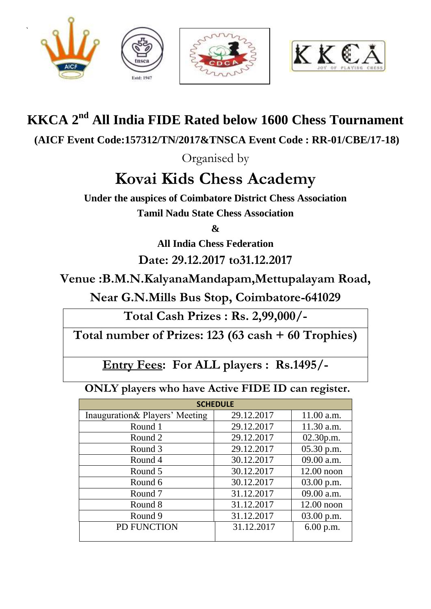

`







## **KKCA 2<sup>nd</sup> All India FIDE Rated below 1600 Chess Tournament**

**(AICF Event Code:157312/TN/2017&TNSCA Event Code : RR-01/CBE/17-18)**

Organised by

# **Kovai Kids Chess Academy**

**Under the auspices of Coimbatore District Chess Association Tamil Nadu State Chess Association**

**&**

**All India Chess Federation**

**Date: 29.12.2017 to31.12.2017**

**Venue :B.M.N.KalyanaMandapam,Mettupalayam Road,**

**Near G.N.Mills Bus Stop, Coimbatore-641029**

**Total Cash Prizes : Rs. 2,99,000/-**

**Total number of Prizes: 123 (63 cash + 60 Trophies)**

**Entry Fees: For ALL players : Rs.1495/-** 

 **ONLY players who have Active FIDE ID can register.**

| <b>SCHEDULE</b>                |            |              |  |  |  |
|--------------------------------|------------|--------------|--|--|--|
| Inauguration& Players' Meeting | 29.12.2017 | 11.00 a.m.   |  |  |  |
| Round 1                        | 29.12.2017 | 11.30 a.m.   |  |  |  |
| Round 2                        | 29.12.2017 | 02.30 p.m.   |  |  |  |
| Round 3                        | 29.12.2017 | 05.30 p.m.   |  |  |  |
| Round 4                        | 30.12.2017 | 09.00 a.m.   |  |  |  |
| Round 5                        | 30.12.2017 | $12.00$ noon |  |  |  |
| Round 6                        | 30.12.2017 | $03.00$ p.m. |  |  |  |
| Round <sub>7</sub>             | 31.12.2017 | 09.00 a.m.   |  |  |  |
| Round 8                        | 31.12.2017 | $12.00$ noon |  |  |  |
| Round 9                        | 31.12.2017 | 03.00 p.m.   |  |  |  |
| PD FUNCTION                    | 31.12.2017 | 6.00 p.m.    |  |  |  |
|                                |            |              |  |  |  |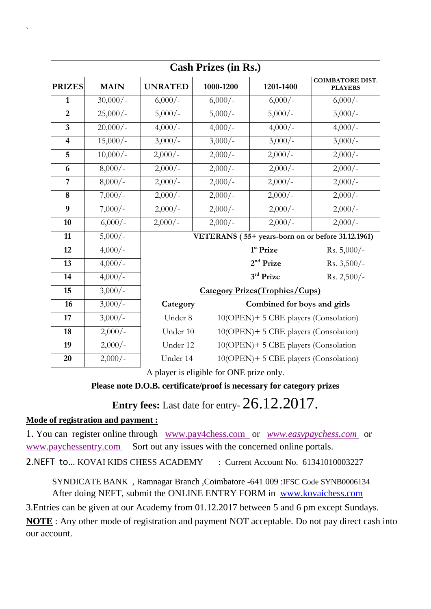| <b>Cash Prizes (in Rs.)</b> |                      |                                                  |                                                   |                                       |                                           |  |
|-----------------------------|----------------------|--------------------------------------------------|---------------------------------------------------|---------------------------------------|-------------------------------------------|--|
| <b>PRIZES</b>               | <b>MAIN</b>          | <b>UNRATED</b>                                   | 1000-1200                                         | 1201-1400                             | <b>COIMBATORE DIST.</b><br><b>PLAYERS</b> |  |
| $\mathbf{1}$                | $30,000/-$           | $6,000/-$                                        | $6,000/-$                                         | $6,000/-$                             | $6,000/-$                                 |  |
| $\overline{2}$              | $25,000/-$           | $5,000/-$                                        | $5,000/-$                                         | $5,000/-$                             | $5,000/-$                                 |  |
| $\overline{\mathbf{3}}$     | $20,000/-$           | $4,000/-$                                        | $4,000/-$                                         | $4,000/-$                             | $4,000/-$                                 |  |
| $\overline{\mathbf{4}}$     | $15,000/-$           | $3,000/-$                                        | $3,000/-$                                         | $3,000/-$                             | $3,000/-$                                 |  |
| 5                           | $10,000/-$           | $2,000/-$                                        | $2,000/-$                                         | $2,000/-$                             | $2,000/-$                                 |  |
| 6                           | $8,000/-$            | $2,000/-$                                        | $2,000/-$                                         | $2,000/-$                             | $2,000/-$                                 |  |
| $\overline{7}$              | $8,000/-$            | $2,000/-$                                        | $2,000/-$                                         | $2,000/-$                             | $2,000/-$                                 |  |
| 8                           | $7,000/-$            | $2,000/-$                                        | $2,000/-$                                         | $2,000/-$                             | $2,000/-$                                 |  |
| $\overline{9}$              | $7,000/-$            | $2,000/-$                                        | $2,000/-$                                         | $2,000/-$                             | $2,000/-$                                 |  |
| 10                          | $6,000/-$            | $2,000/-$                                        | $2,000/-$                                         | $2,000/-$                             | $2,000/-$                                 |  |
| 11                          | $5,000/-$            |                                                  | VETERANS (55+ years-born on or before 31.12.1961) |                                       |                                           |  |
| 12                          | $4,000/-$            |                                                  |                                                   | $1st$ Prize                           | Rs. $5,000/-$                             |  |
| 13                          | $4,000/-$            |                                                  |                                                   | 2 <sup>nd</sup> Prize                 | Rs. $3,500/-$                             |  |
| 14                          | $4,000/-$            |                                                  |                                                   | 3rd Prize                             | Rs. $2,500/-$                             |  |
| 15                          | $3,000/-$            | <b>Category Prizes (Trophies/Cups)</b>           |                                                   |                                       |                                           |  |
| 16                          | $3,000/-$            | Category<br>Combined for boys and girls          |                                                   |                                       |                                           |  |
| 17                          | $\frac{1}{3,000}/$ - | Under 8<br>10(OPEN)+ 5 CBE players (Consolation) |                                                   |                                       |                                           |  |
| 18                          | $2,000/-$            |                                                  | 10(OPEN)+ 5 CBE players (Consolation)<br>Under 10 |                                       |                                           |  |
| 19                          | $2,000/-$            | 10(OPEN)+5 CBE players (Consolation<br>Under 12  |                                                   |                                       |                                           |  |
| 20                          | $2,000/-$            | Under 14                                         | $1 \quad 1 \quad 11 \quad 0 \quad 0 \quad 1$      | 10(OPEN)+ 5 CBE players (Consolation) |                                           |  |

A player is eligible for ONE prize only.

### **Please note D.O.B. certificate/proof is necessary for category prizes**

**Entry fees:** Last date for entry- 26.12.2017.

#### **Mode of registration and payment :**

`

1. You can register online through [www.pay4chess.com](http://www.pay4chess.com/) or *[www.easypaychess.com](http://www.easypaychess.com/)* or [www.paychessentry.com](http://www.paychessentry.com/) Sort out any issues with the concerned online portals.

2. NEFT to... KOVAI KIDS CHESS ACADEMY : Current Account No. 61341010003227

SYNDICATE BANK , Ramnagar Branch ,Coimbatore -641 009 :IFSC Code SYNB0006134 After doing NEFT, submit the ONLINE ENTRY FORM in [www.kovaichess.com](http://www.kovaichess.com/)

3.Entries can be given at our Academy from 01.12.2017 between 5 and 6 pm except Sundays. **NOTE** : Any other mode of registration and payment NOT acceptable. Do not pay direct cash into our account.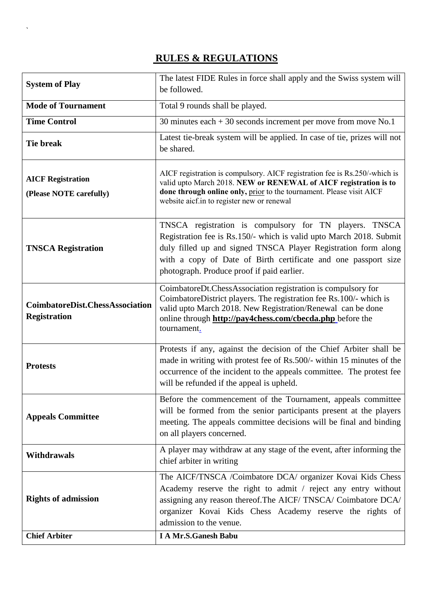## **RULES & REGULATIONS**

 $\ddot{\phantom{0}}$ 

| <b>System of Play</b>                                         | The latest FIDE Rules in force shall apply and the Swiss system will<br>be followed.                                                                                                                                                                                                                            |  |  |
|---------------------------------------------------------------|-----------------------------------------------------------------------------------------------------------------------------------------------------------------------------------------------------------------------------------------------------------------------------------------------------------------|--|--|
| <b>Mode of Tournament</b>                                     | Total 9 rounds shall be played.                                                                                                                                                                                                                                                                                 |  |  |
| <b>Time Control</b>                                           | 30 minutes each $+30$ seconds increment per move from move No.1                                                                                                                                                                                                                                                 |  |  |
| <b>Tie break</b>                                              | Latest tie-break system will be applied. In case of tie, prizes will not<br>be shared.                                                                                                                                                                                                                          |  |  |
| <b>AICF Registration</b><br>(Please NOTE carefully)           | AICF registration is compulsory. AICF registration fee is Rs.250/-which is<br>valid upto March 2018. NEW or RENEWAL of AICF registration is to<br>done through online only, prior to the tournament. Please visit AICF<br>website aicf.in to register new or renewal                                            |  |  |
| <b>TNSCA Registration</b>                                     | TNSCA registration is compulsory for TN players. TNSCA<br>Registration fee is Rs.150/- which is valid upto March 2018. Submit<br>duly filled up and signed TNSCA Player Registration form along<br>with a copy of Date of Birth certificate and one passport size<br>photograph. Produce proof if paid earlier. |  |  |
| <b>CoimbatoreDist.ChessAssociation</b><br><b>Registration</b> | CoimbatoreDt.ChessAssociation registration is compulsory for<br>CoimbatoreDistrict players. The registration fee Rs.100/- which is<br>valid upto March 2018. New Registration/Renewal can be done<br>online through http://pay4chess.com/cbecda.php before the<br>tournament.                                   |  |  |
| <b>Protests</b>                                               | Protests if any, against the decision of the Chief Arbiter shall be<br>made in writing with protest fee of Rs.500/- within 15 minutes of the<br>occurrence of the incident to the appeals committee. The protest fee<br>will be refunded if the appeal is upheld.                                               |  |  |
| <b>Appeals Committee</b>                                      | Before the commencement of the Tournament, appeals committee<br>will be formed from the senior participants present at the players<br>meeting. The appeals committee decisions will be final and binding<br>on all players concerned.                                                                           |  |  |
| <b>Withdrawals</b>                                            | A player may withdraw at any stage of the event, after informing the<br>chief arbiter in writing                                                                                                                                                                                                                |  |  |
| <b>Rights of admission</b>                                    | The AICF/TNSCA /Coimbatore DCA/ organizer Kovai Kids Chess<br>Academy reserve the right to admit / reject any entry without<br>assigning any reason thereof. The AICF/TNSCA/ Coimbatore DCA/<br>organizer Kovai Kids Chess Academy reserve the rights of<br>admission to the venue.                             |  |  |
| <b>Chief Arbiter</b>                                          | <b>I A Mr.S.Ganesh Babu</b>                                                                                                                                                                                                                                                                                     |  |  |